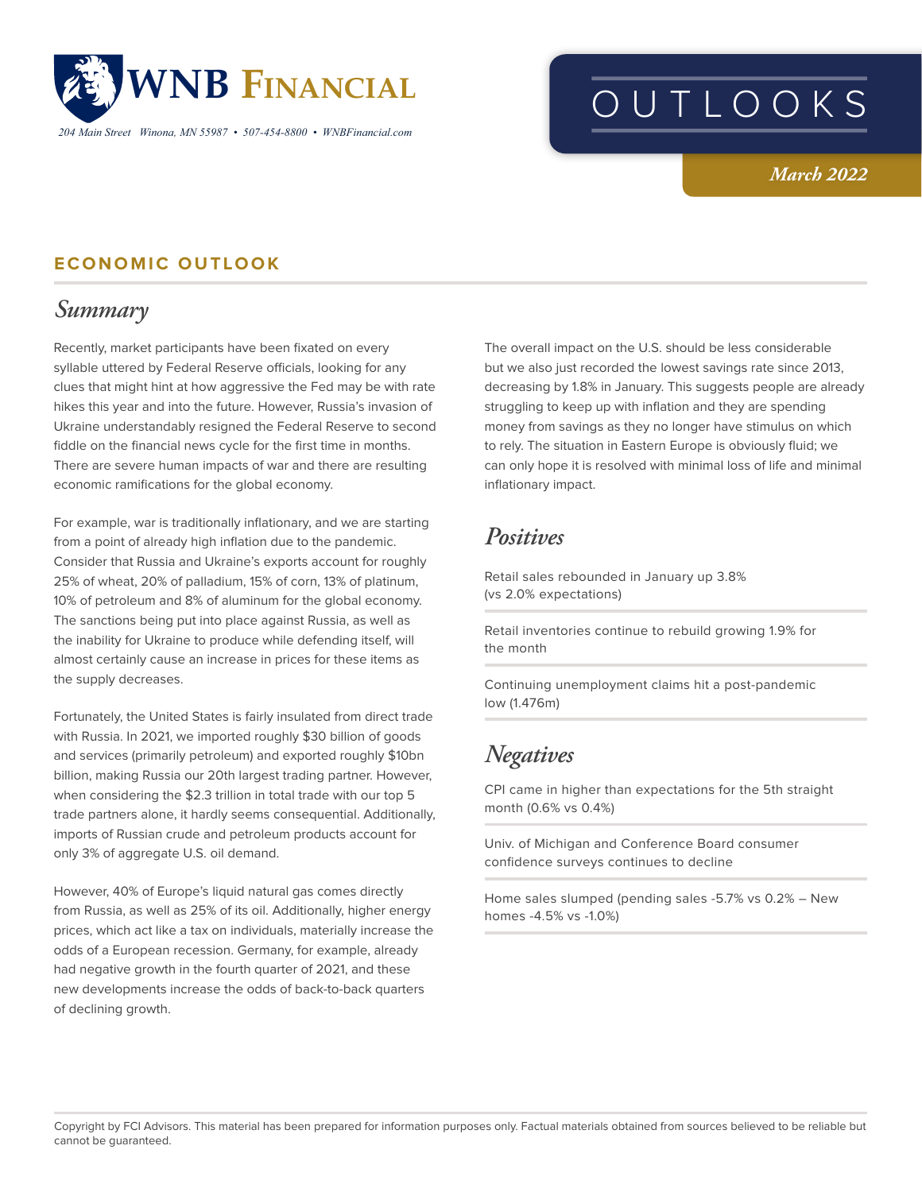

*204 Main Street Winona, MN 55987 • 507-454-8800 • WNBFinancial.com*

# OUTLOOKS

#### *March 2022*

#### **ECONOMIC OUTLOOK**

## *Summary*

Recently, market participants have been fixated on every syllable uttered by Federal Reserve officials, looking for any clues that might hint at how aggressive the Fed may be with rate hikes this year and into the future. However, Russia's invasion of Ukraine understandably resigned the Federal Reserve to second fiddle on the financial news cycle for the first time in months. There are severe human impacts of war and there are resulting economic ramifications for the global economy.

For example, war is traditionally inflationary, and we are starting from a point of already high inflation due to the pandemic. Consider that Russia and Ukraine's exports account for roughly 25% of wheat, 20% of palladium, 15% of corn, 13% of platinum, 10% of petroleum and 8% of aluminum for the global economy. The sanctions being put into place against Russia, as well as the inability for Ukraine to produce while defending itself, will almost certainly cause an increase in prices for these items as the supply decreases.

Fortunately, the United States is fairly insulated from direct trade with Russia. In 2021, we imported roughly \$30 billion of goods and services (primarily petroleum) and exported roughly \$10bn billion, making Russia our 20th largest trading partner. However, when considering the \$2.3 trillion in total trade with our top 5 trade partners alone, it hardly seems consequential. Additionally, imports of Russian crude and petroleum products account for only 3% of aggregate U.S. oil demand.

However, 40% of Europe's liquid natural gas comes directly from Russia, as well as 25% of its oil. Additionally, higher energy prices, which act like a tax on individuals, materially increase the odds of a European recession. Germany, for example, already had negative growth in the fourth quarter of 2021, and these new developments increase the odds of back-to-back quarters of declining growth.

The overall impact on the U.S. should be less considerable but we also just recorded the lowest savings rate since 2013, decreasing by 1.8% in January. This suggests people are already struggling to keep up with inflation and they are spending money from savings as they no longer have stimulus on which to rely. The situation in Eastern Europe is obviously fluid; we can only hope it is resolved with minimal loss of life and minimal inflationary impact.

## *Positives*

Retail sales rebounded in January up 3.8% (vs 2.0% expectations)

Retail inventories continue to rebuild growing 1.9% for the month

Continuing unemployment claims hit a post-pandemic low (1.476m)

## *Negatives*

CPI came in higher than expectations for the 5th straight month (0.6% vs 0.4%)

Univ. of Michigan and Conference Board consumer confidence surveys continues to decline

Home sales slumped (pending sales -5.7% vs 0.2% – New homes -4.5% vs -1.0%)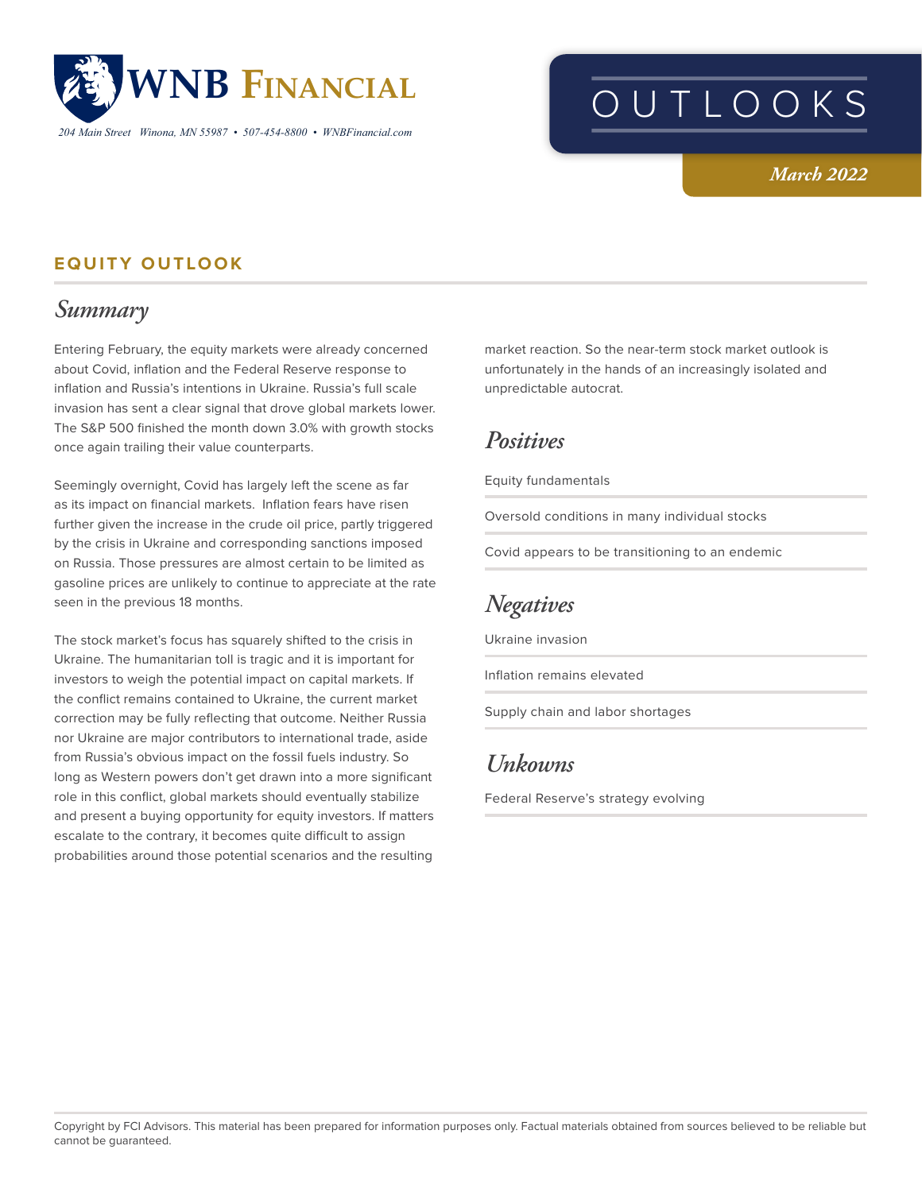

*204 Main Street Winona, MN 55987 • 507-454-8800 • WNBFinancial.com*

# OUTLOOKS

#### *March 2022*

#### **EQUITY OUTLOOK**

## *Summary*

Entering February, the equity markets were already concerned about Covid, inflation and the Federal Reserve response to inflation and Russia's intentions in Ukraine. Russia's full scale invasion has sent a clear signal that drove global markets lower. The S&P 500 finished the month down 3.0% with growth stocks once again trailing their value counterparts.

Seemingly overnight, Covid has largely left the scene as far as its impact on financial markets. Inflation fears have risen further given the increase in the crude oil price, partly triggered by the crisis in Ukraine and corresponding sanctions imposed on Russia. Those pressures are almost certain to be limited as gasoline prices are unlikely to continue to appreciate at the rate seen in the previous 18 months.

The stock market's focus has squarely shifted to the crisis in Ukraine. The humanitarian toll is tragic and it is important for investors to weigh the potential impact on capital markets. If the conflict remains contained to Ukraine, the current market correction may be fully reflecting that outcome. Neither Russia nor Ukraine are major contributors to international trade, aside from Russia's obvious impact on the fossil fuels industry. So long as Western powers don't get drawn into a more significant role in this conflict, global markets should eventually stabilize and present a buying opportunity for equity investors. If matters escalate to the contrary, it becomes quite difficult to assign probabilities around those potential scenarios and the resulting

market reaction. So the near-term stock market outlook is unfortunately in the hands of an increasingly isolated and unpredictable autocrat.

### *Positives*

Equity fundamentals

Oversold conditions in many individual stocks

Covid appears to be transitioning to an endemic

## *Negatives*

Ukraine invasion

Inflation remains elevated

Supply chain and labor shortages

## *Unkowns*

Federal Reserve's strategy evolving